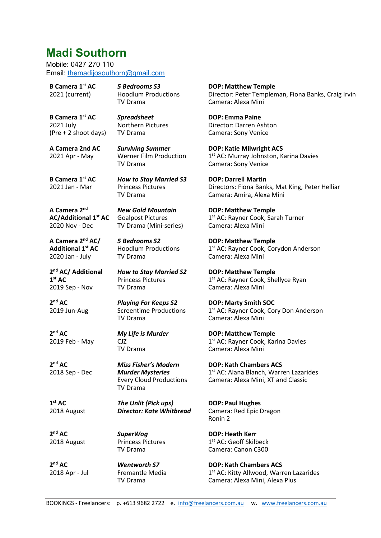# Madi Southorn

Mobile: 0427 270 110 Email: themadijosouthorn@gmail.com

B Camera 1st AC 2021 (current)

5 Bedrooms S3 Hoodlum Productions TV Drama

Spreadsheet Northern Pictures

TV Drama

B Camera 1st AC 2021 July (Pre + 2 shoot days)

A Camera 2nd AC 2021 Apr - May

Surviving Summer Werner Film Production TV Drama

**B Camera 1st AC** 2021 Jan - Mar

How to Stay Married S3 Princess Pictures TV Drama

New Gold Mountain Goalpost Pictures TV Drama (Mini-series)

5 Bedrooms S2 Hoodlum Productions

Princess Pictures TV Drama

TV Drama

A Camera 2nd AC/Additional 1st AC 2020 Nov - Dec

A Camera 2<sup>nd</sup> AC/ Additional 1<sup>st</sup> AC 2020 Jan - July

2<sup>nd</sup> AC/ Additional  $1<sup>st</sup> AC$ 2019 Sep - Nov

2<sup>nd</sup> AC 2019 Jun-Aug Playing For Keeps S2 Screentime Productions TV Drama

How to Stay Married S2

2<sup>nd</sup> AC 2019 Feb - May My Life is Murder CJZ TV Drama

SuperWog Princess Pictures

TV Drama

TV Drama

Wentworth S7 Fremantle Media

Miss Fisher's Modern Murder Mysteries Every Cloud Productions

2<sup>nd</sup> AC 2018 Sep - Dec

> TV Drama The Unlit (Pick ups) Director: Kate Whitbread

 $1<sup>st</sup> AC$ 2018 August

2<sup>nd</sup> AC 2018 August

2<sup>nd</sup> AC 2018 Apr - Jul DOP: Matthew Temple Director: Peter Templeman, Fiona Banks, Craig Irvin Camera: Alexa Mini

DOP: Emma Paine Director: Darren Ashton Camera: Sony Venice

DOP: Katie Milwright ACS 1<sup>st</sup> AC: Murray Johnston, Karina Davies Camera: Sony Venice

DOP: Darrell Martin Directors: Fiona Banks, Mat King, Peter Helliar Camera: Amira, Alexa Mini

DOP: Matthew Temple 1 st AC: Rayner Cook, Sarah Turner Camera: Alexa Mini

DOP: Matthew Temple 1<sup>st</sup> AC: Rayner Cook, Corydon Anderson Camera: Alexa Mini

DOP: Matthew Temple 1<sup>st</sup> AC: Rayner Cook, Shellyce Ryan Camera: Alexa Mini

DOP: Marty Smith SOC 1<sup>st</sup> AC: Rayner Cook, Cory Don Anderson Camera: Alexa Mini

DOP: Matthew Temple 1<sup>st</sup> AC: Rayner Cook, Karina Davies Camera: Alexa Mini

DOP: Kath Chambers ACS 1 st AC: Alana Blanch, Warren Lazarides Camera: Alexa Mini, XT and Classic

DOP: Paul Hughes Camera: Red Epic Dragon Ronin 2

DOP: Heath Kerr 1 st AC: Geoff Skilbeck Camera: Canon C300

DOP: Kath Chambers ACS 1<sup>st</sup> AC: Kitty Allwood, Warren Lazarides Camera: Alexa Mini, Alexa Plus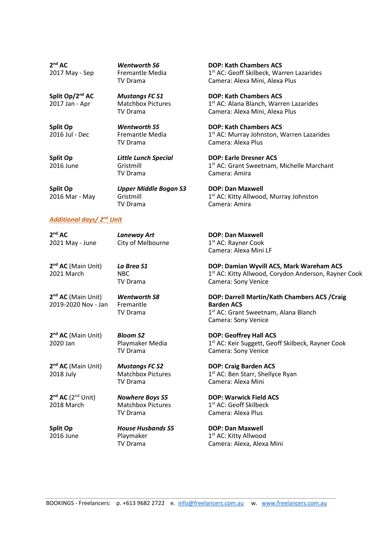Wentworth S6 Fremantle Media TV Drama

Mustangs FC S1 Matchbox Pictures

TV Drama

Split Op/2<sup>nd</sup> AC 2017 Jan - Apr

Split Op 2016 Jul - Dec

Wentworth S5 Fremantle Media TV Drama

Split Op 2016 June Little Lunch Special Gristmill TV Drama

Laneway Art City of Melbourne

La Brea S1 NBC

Wentworth S8 Fremantle TV Drama

Split Op 2016 Mar - May

Upper Middle Bogan S3 Gristmill TV Drama

## Additional days/ 2nd Unit

2 nd AC 2021 May - June

2<sup>nd</sup> AC (Main Unit) 2021 March

TV Drama

2<sup>nd</sup> AC (Main Unit) 2019-2020 Nov - Jan

2<sup>nd</sup> AC (Main Unit) 2020 Jan

2<sup>nd</sup> AC (Main Unit) 2018 July

 $2<sup>nd</sup> AC (2<sup>nd</sup> Unit)$ 2018 March

Split Op 2016 June Bloom S2 Playmaker Media TV Drama

Mustangs FC S2 Matchbox Pictures TV Drama

Nowhere Boys S5 Matchbox Pictures TV Drama

House Husbands S5 Playmaker TV Drama

DOP: Kath Chambers ACS 1<sup>st</sup> AC: Geoff Skilbeck, Warren Lazarides Camera: Alexa Mini, Alexa Plus

DOP: Kath Chambers ACS 1 st AC: Alana Blanch, Warren Lazarides Camera: Alexa Mini, Alexa Plus

DOP: Kath Chambers ACS 1<sup>st</sup> AC: Murray Johnston, Warren Lazarides Camera: Alexa Plus

DOP: Earle Dresner ACS 1<sup>st</sup> AC: Grant Sweetnam, Michelle Marchant Camera: Amira

DOP: Dan Maxwell 1<sup>st</sup> AC: Kitty Allwood, Murray Johnston Camera: Amira

DOP: Dan Maxwell 1 st AC: Rayner Cook Camera: Alexa Mini LF

DOP: Damian Wyvill ACS, Mark Wareham ACS 1<sup>st</sup> AC: Kitty Allwood, Corydon Anderson, Rayner Cook Camera: Sony Venice

DOP: Darrell Martin/Kath Chambers ACS /Craig Barden ACS 1<sup>st</sup> AC: Grant Sweetnam, Alana Blanch Camera: Sony Venice

DOP: Geoffrey Hall ACS 1 st AC: Keir Suggett, Geoff Skilbeck, Rayner Cook Camera: Sony Venice

DOP: Craig Barden ACS 1 st AC: Ben Starr, Shellyce Ryan Camera: Alexa Mini

DOP: Warwick Field ACS 1 st AC: Geoff Skilbeck Camera: Alexa Plus

DOP: Dan Maxwell 1 st AC: Kitty Allwood Camera: Alexa, Alexa Mini